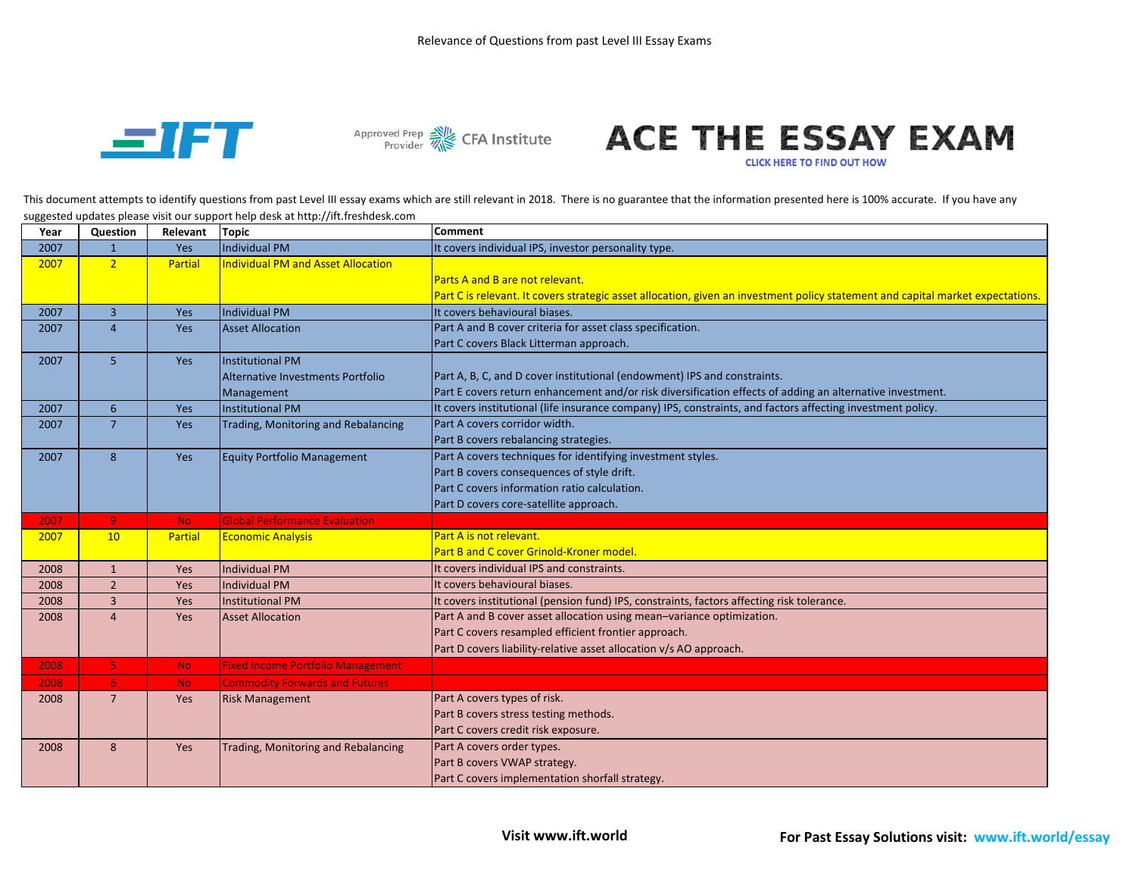



## Approved Prep & CFA Institute **ACE THE ESSAY EXAM**

**CLICK HERE TO FIND OUT HOW** 

This document attempts to identify questions from past Level III essay exams which are still relevant in 2018. There is no guarantee that the information presented here is 100% accurate. If you have any suggested updates please visit our support help desk at http://ift.freshdesk.com

| Part C is relevant. It covers strategic asset allocation, given an investment policy statement and capital market expectations. |
|---------------------------------------------------------------------------------------------------------------------------------|
|                                                                                                                                 |
|                                                                                                                                 |
|                                                                                                                                 |
|                                                                                                                                 |
|                                                                                                                                 |
|                                                                                                                                 |
|                                                                                                                                 |
|                                                                                                                                 |
|                                                                                                                                 |
|                                                                                                                                 |
|                                                                                                                                 |
|                                                                                                                                 |
|                                                                                                                                 |
|                                                                                                                                 |
|                                                                                                                                 |
|                                                                                                                                 |
|                                                                                                                                 |
|                                                                                                                                 |
|                                                                                                                                 |
|                                                                                                                                 |
|                                                                                                                                 |
|                                                                                                                                 |
|                                                                                                                                 |
|                                                                                                                                 |
|                                                                                                                                 |
|                                                                                                                                 |
|                                                                                                                                 |
|                                                                                                                                 |
|                                                                                                                                 |
|                                                                                                                                 |
| Part E covers return enhancement and/or risk diversification effects of adding an alternative investment.                       |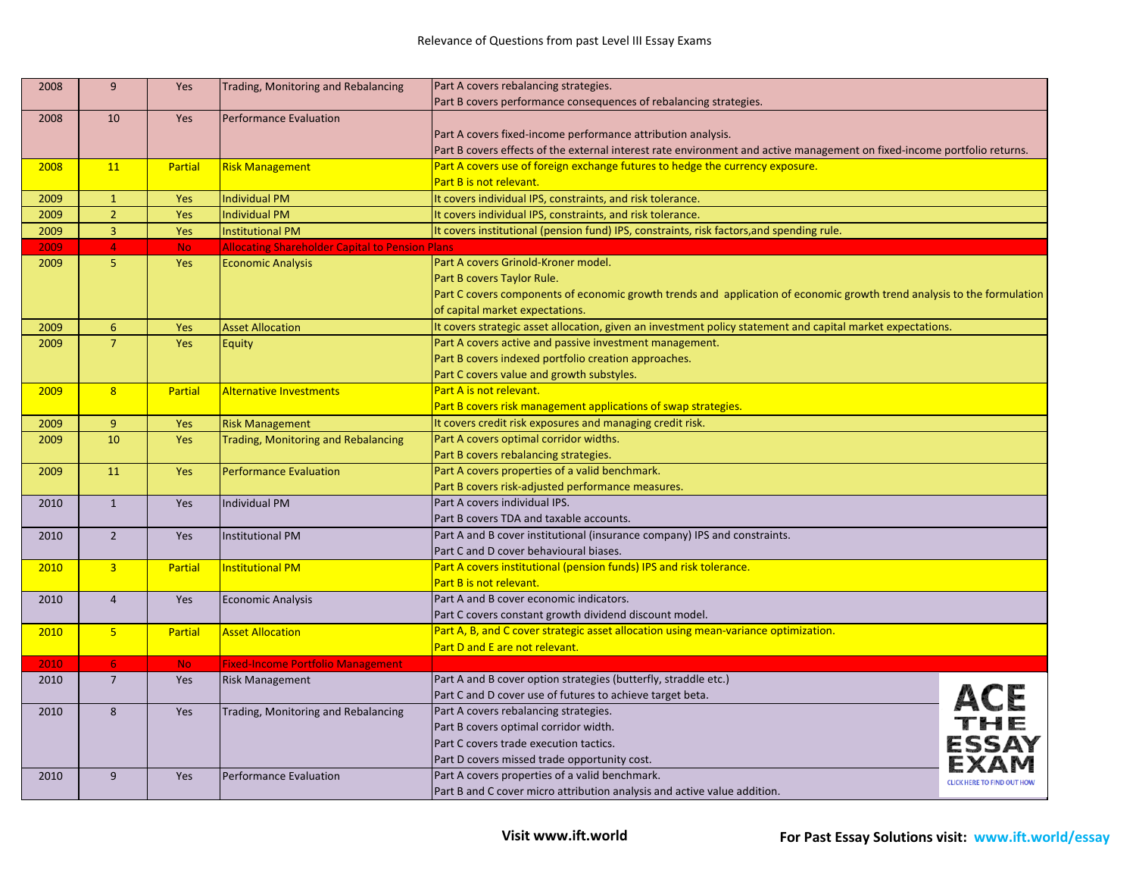| 2008 | 9               | Yes            | Trading, Monitoring and Rebalancing                    | Part A covers rebalancing strategies.                                                                                    |                                   |
|------|-----------------|----------------|--------------------------------------------------------|--------------------------------------------------------------------------------------------------------------------------|-----------------------------------|
|      |                 |                |                                                        | Part B covers performance consequences of rebalancing strategies.                                                        |                                   |
| 2008 | 10              | Yes            | <b>Performance Evaluation</b>                          |                                                                                                                          |                                   |
|      |                 |                |                                                        | Part A covers fixed-income performance attribution analysis.                                                             |                                   |
|      |                 |                |                                                        | Part B covers effects of the external interest rate environment and active management on fixed-income portfolio returns. |                                   |
| 2008 | 11              | <b>Partial</b> | <b>Risk Management</b>                                 | Part A covers use of foreign exchange futures to hedge the currency exposure.                                            |                                   |
|      |                 |                |                                                        | Part B is not relevant.                                                                                                  |                                   |
| 2009 | $\mathbf{1}$    | Yes            | <b>Individual PM</b>                                   | It covers individual IPS, constraints, and risk tolerance.                                                               |                                   |
| 2009 | $\overline{2}$  | Yes            | <b>Individual PM</b>                                   | It covers individual IPS, constraints, and risk tolerance.                                                               |                                   |
| 2009 | $\overline{3}$  | Yes            | <b>Institutional PM</b>                                | It covers institutional (pension fund) IPS, constraints, risk factors, and spending rule.                                |                                   |
| 2009 | $\overline{4}$  | No.            | <b>Allocating Shareholder Capital to Pension Plans</b> |                                                                                                                          |                                   |
| 2009 | 5               | Yes            | <b>Economic Analysis</b>                               | Part A covers Grinold-Kroner model.                                                                                      |                                   |
|      |                 |                |                                                        | Part B covers Taylor Rule.                                                                                               |                                   |
|      |                 |                |                                                        | Part C covers components of economic growth trends and application of economic growth trend analysis to the formulation  |                                   |
|      |                 |                |                                                        | of capital market expectations.                                                                                          |                                   |
| 2009 | 6               | Yes            | <b>Asset Allocation</b>                                | It covers strategic asset allocation, given an investment policy statement and capital market expectations.              |                                   |
| 2009 | $\overline{7}$  | Yes            | Equity                                                 | Part A covers active and passive investment management.                                                                  |                                   |
|      |                 |                |                                                        | Part B covers indexed portfolio creation approaches.                                                                     |                                   |
|      |                 |                |                                                        | Part C covers value and growth substyles.                                                                                |                                   |
| 2009 | 8               | <b>Partial</b> | <b>Alternative Investments</b>                         | Part A is not relevant.                                                                                                  |                                   |
|      |                 |                |                                                        | Part B covers risk management applications of swap strategies.                                                           |                                   |
| 2009 | 9               | Yes            | <b>Risk Management</b>                                 | It covers credit risk exposures and managing credit risk.                                                                |                                   |
| 2009 | 10              | Yes            | <b>Trading, Monitoring and Rebalancing</b>             | Part A covers optimal corridor widths.                                                                                   |                                   |
|      |                 |                |                                                        | Part B covers rebalancing strategies.                                                                                    |                                   |
| 2009 | 11              | Yes            | <b>Performance Evaluation</b>                          | Part A covers properties of a valid benchmark.                                                                           |                                   |
|      |                 |                |                                                        | Part B covers risk-adjusted performance measures.                                                                        |                                   |
| 2010 | $\mathbf{1}$    | Yes            | <b>Individual PM</b>                                   | Part A covers individual IPS.                                                                                            |                                   |
|      |                 |                |                                                        | Part B covers TDA and taxable accounts.                                                                                  |                                   |
| 2010 | $\overline{2}$  | Yes            | <b>Institutional PM</b>                                | Part A and B cover institutional (insurance company) IPS and constraints.                                                |                                   |
|      |                 |                |                                                        | Part C and D cover behavioural biases.                                                                                   |                                   |
| 2010 | $\overline{3}$  | <b>Partial</b> | <b>Institutional PM</b>                                | Part A covers institutional (pension funds) IPS and risk tolerance.                                                      |                                   |
|      |                 |                |                                                        | Part B is not relevant.                                                                                                  |                                   |
| 2010 | $\overline{4}$  | Yes            | <b>Economic Analysis</b>                               | Part A and B cover economic indicators.                                                                                  |                                   |
|      |                 |                |                                                        | Part C covers constant growth dividend discount model.                                                                   |                                   |
| 2010 | $5\phantom{.0}$ | <b>Partial</b> | <b>Asset Allocation</b>                                | Part A, B, and C cover strategic asset allocation using mean-variance optimization.                                      |                                   |
|      |                 |                |                                                        | Part D and E are not relevant.                                                                                           |                                   |
| 2010 | 6               | <b>No</b>      | <b>Fixed-Income Portfolio Management</b>               |                                                                                                                          |                                   |
| 2010 | $\overline{7}$  | Yes            | <b>Risk Management</b>                                 | Part A and B cover option strategies (butterfly, straddle etc.)                                                          |                                   |
|      |                 |                |                                                        | Part C and D cover use of futures to achieve target beta.                                                                |                                   |
| 2010 | 8               | Yes            | Trading, Monitoring and Rebalancing                    | Part A covers rebalancing strategies.                                                                                    |                                   |
|      |                 |                |                                                        | Part B covers optimal corridor width.                                                                                    |                                   |
|      |                 |                |                                                        | Part C covers trade execution tactics.                                                                                   | <b>ESSAY</b>                      |
|      |                 |                |                                                        | Part D covers missed trade opportunity cost.                                                                             |                                   |
| 2010 | 9               | Yes            | <b>Performance Evaluation</b>                          | Part A covers properties of a valid benchmark.                                                                           | <b>CLICK HERE TO FIND OUT HOW</b> |
|      |                 |                |                                                        | Part B and C cover micro attribution analysis and active value addition.                                                 |                                   |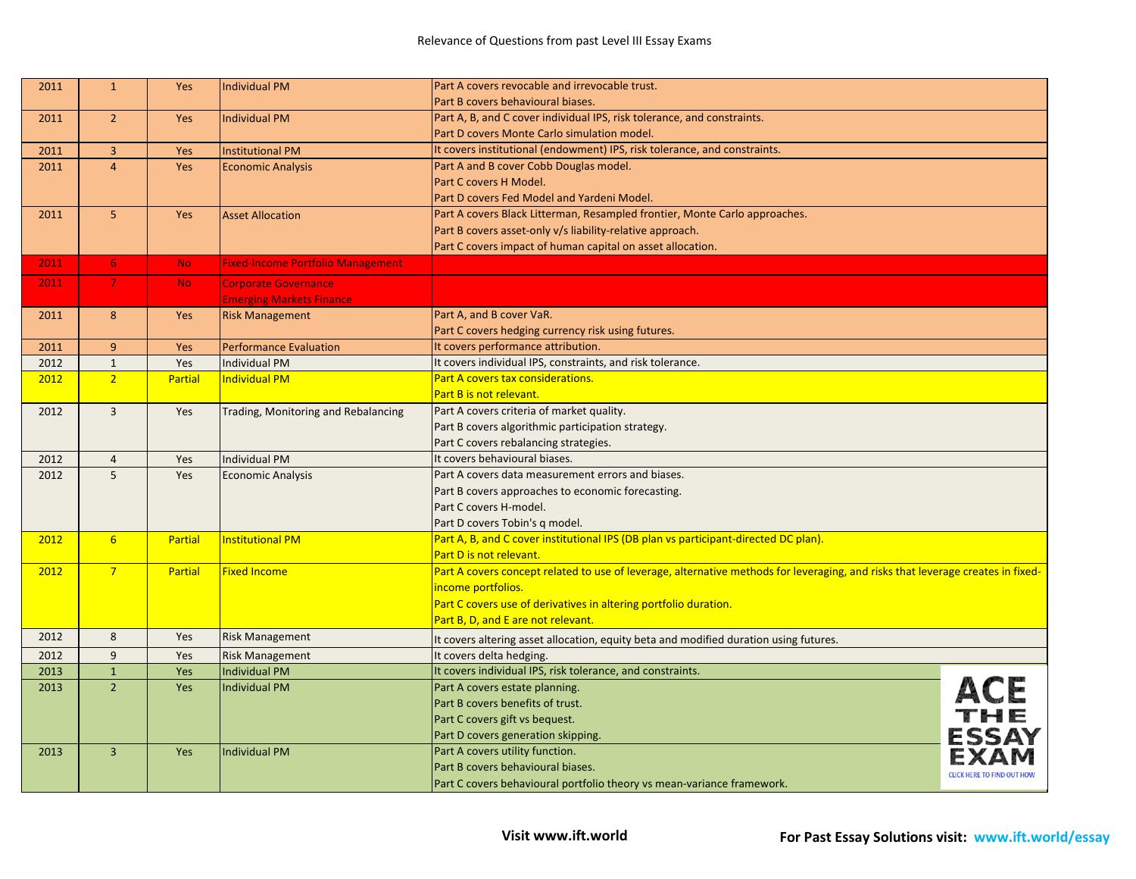| 2011 | $\mathbf{1}$   | Yes            | <b>Individual PM</b>                     | Part A covers revocable and irrevocable trust.                                                                                  |                                   |
|------|----------------|----------------|------------------------------------------|---------------------------------------------------------------------------------------------------------------------------------|-----------------------------------|
|      |                |                |                                          | Part B covers behavioural biases.                                                                                               |                                   |
| 2011 | $\overline{2}$ | Yes            | <b>Individual PM</b>                     | Part A, B, and C cover individual IPS, risk tolerance, and constraints.                                                         |                                   |
|      |                |                |                                          | Part D covers Monte Carlo simulation model.                                                                                     |                                   |
| 2011 | 3              | Yes            | <b>Institutional PM</b>                  | It covers institutional (endowment) IPS, risk tolerance, and constraints.                                                       |                                   |
| 2011 | $\overline{4}$ | Yes            | <b>Economic Analysis</b>                 | Part A and B cover Cobb Douglas model.                                                                                          |                                   |
|      |                |                |                                          | Part C covers H Model.                                                                                                          |                                   |
|      |                |                |                                          | Part D covers Fed Model and Yardeni Model.                                                                                      |                                   |
| 2011 | 5              | Yes            | <b>Asset Allocation</b>                  | Part A covers Black Litterman, Resampled frontier, Monte Carlo approaches.                                                      |                                   |
|      |                |                |                                          | Part B covers asset-only v/s liability-relative approach.                                                                       |                                   |
|      |                |                |                                          | Part C covers impact of human capital on asset allocation.                                                                      |                                   |
| 2011 | 6              | <b>No</b>      | <b>Fixed-Income Portfolio Management</b> |                                                                                                                                 |                                   |
| 2011 | $\overline{7}$ | <b>No</b>      | <b>Corporate Governance</b>              |                                                                                                                                 |                                   |
|      |                |                | <b>Emerging Markets Finance</b>          |                                                                                                                                 |                                   |
| 2011 | 8              | Yes            | <b>Risk Management</b>                   | Part A, and B cover VaR.                                                                                                        |                                   |
|      |                |                |                                          | Part C covers hedging currency risk using futures.                                                                              |                                   |
| 2011 | 9              | Yes            | <b>Performance Evaluation</b>            | It covers performance attribution.                                                                                              |                                   |
| 2012 | $\mathbf{1}$   | Yes            | <b>Individual PM</b>                     | It covers individual IPS, constraints, and risk tolerance.                                                                      |                                   |
| 2012 | $\overline{2}$ | Partial        | <b>Individual PM</b>                     | Part A covers tax considerations.                                                                                               |                                   |
|      |                |                |                                          | Part B is not relevant.                                                                                                         |                                   |
| 2012 | $\overline{3}$ | Yes            | Trading, Monitoring and Rebalancing      | Part A covers criteria of market quality.                                                                                       |                                   |
|      |                |                |                                          | Part B covers algorithmic participation strategy.                                                                               |                                   |
|      |                |                |                                          | Part C covers rebalancing strategies.                                                                                           |                                   |
| 2012 | $\overline{4}$ | Yes            | <b>Individual PM</b>                     | It covers behavioural biases.                                                                                                   |                                   |
| 2012 | 5              | <b>Yes</b>     | <b>Economic Analysis</b>                 | Part A covers data measurement errors and biases.                                                                               |                                   |
|      |                |                |                                          | Part B covers approaches to economic forecasting.                                                                               |                                   |
|      |                |                |                                          | Part C covers H-model.                                                                                                          |                                   |
|      |                |                |                                          | Part D covers Tobin's q model.                                                                                                  |                                   |
| 2012 | 6 <sup>1</sup> | <b>Partial</b> | <b>Institutional PM</b>                  | Part A, B, and C cover institutional IPS (DB plan vs participant-directed DC plan).                                             |                                   |
|      |                |                |                                          | Part D is not relevant.                                                                                                         |                                   |
| 2012 | $7^{\circ}$    | <b>Partial</b> | <b>Fixed Income</b>                      | Part A covers concept related to use of leverage, alternative methods for leveraging, and risks that leverage creates in fixed- |                                   |
|      |                |                |                                          | income portfolios.                                                                                                              |                                   |
|      |                |                |                                          | Part C covers use of derivatives in altering portfolio duration.                                                                |                                   |
|      |                |                |                                          | Part B, D, and E are not relevant.                                                                                              |                                   |
| 2012 | 8              | Yes            | <b>Risk Management</b>                   | It covers altering asset allocation, equity beta and modified duration using futures.                                           |                                   |
| 2012 | 9              | Yes            | <b>Risk Management</b>                   | It covers delta hedging.                                                                                                        |                                   |
| 2013 | $\mathbf 1$    | Yes            | <b>Individual PM</b>                     | It covers individual IPS, risk tolerance, and constraints.                                                                      |                                   |
| 2013 | $\overline{2}$ | Yes            | <b>Individual PM</b>                     | Part A covers estate planning.                                                                                                  |                                   |
|      |                |                |                                          | Part B covers benefits of trust.                                                                                                |                                   |
|      |                |                |                                          | Part C covers gift vs bequest.                                                                                                  |                                   |
|      |                |                |                                          | Part D covers generation skipping.                                                                                              | <b>ESSAY</b>                      |
| 2013 | $\overline{3}$ | Yes            | <b>Individual PM</b>                     | Part A covers utility function.                                                                                                 |                                   |
|      |                |                |                                          | Part B covers behavioural biases.                                                                                               | <b>CLICK HERE TO FIND OUT HOW</b> |
|      |                |                |                                          | Part C covers behavioural portfolio theory vs mean-variance framework.                                                          |                                   |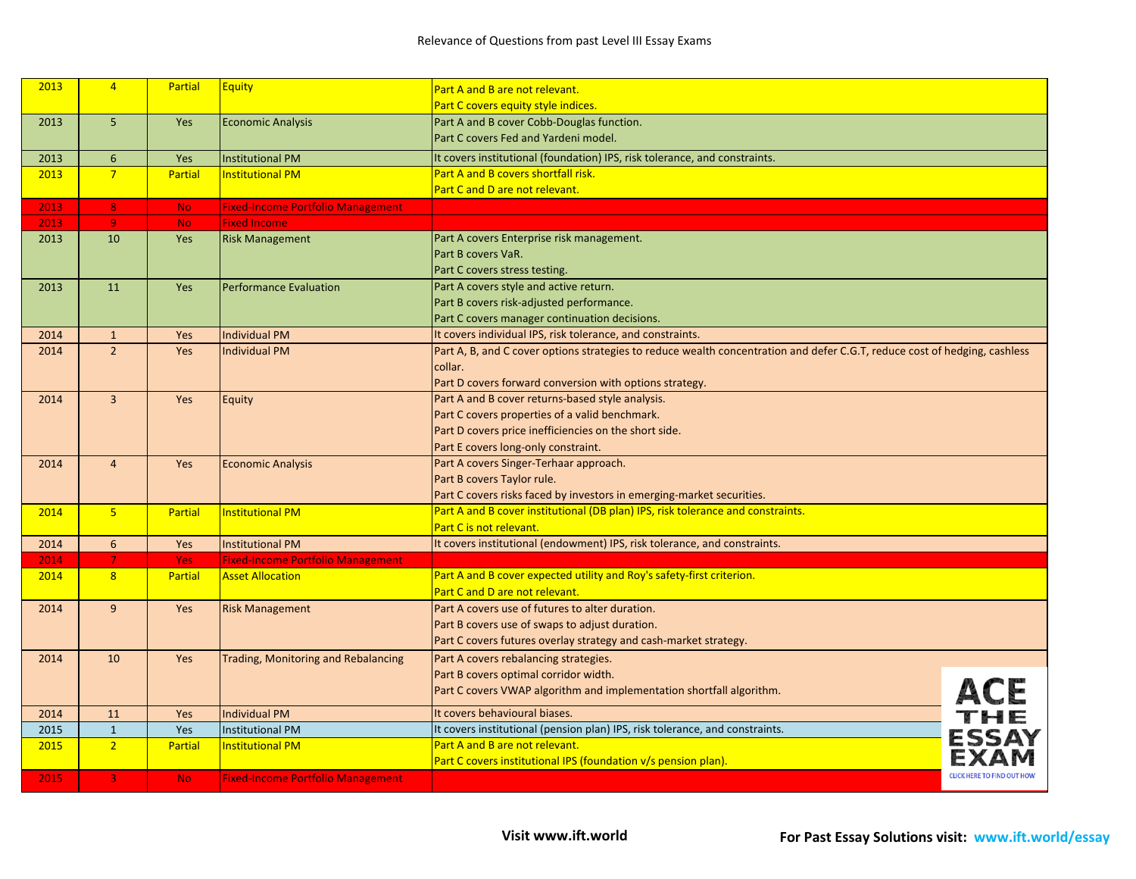| 2013 | $\overline{4}$          | <b>Partial</b> | <b>Equity</b>                              | Part A and B are not relevant.                                                                                             |                                   |
|------|-------------------------|----------------|--------------------------------------------|----------------------------------------------------------------------------------------------------------------------------|-----------------------------------|
|      |                         |                |                                            | Part C covers equity style indices.                                                                                        |                                   |
| 2013 | $\overline{5}$          | Yes            | <b>Economic Analysis</b>                   | Part A and B cover Cobb-Douglas function.                                                                                  |                                   |
|      |                         |                |                                            | Part C covers Fed and Yardeni model.                                                                                       |                                   |
| 2013 | $6\phantom{1}$          | Yes            | <b>Institutional PM</b>                    | It covers institutional (foundation) IPS, risk tolerance, and constraints.                                                 |                                   |
| 2013 | $\overline{7}$          | <b>Partial</b> | <b>Institutional PM</b>                    | <b>Part A and B covers shortfall risk.</b>                                                                                 |                                   |
|      |                         |                |                                            | Part C and D are not relevant.                                                                                             |                                   |
| 2013 | $\overline{\mathbf{8}}$ | <b>No</b>      | <b>Fixed-Income Portfolio Management</b>   |                                                                                                                            |                                   |
| 2013 | $\overline{9}$          | <b>No</b>      | <b>Fixed Income</b>                        |                                                                                                                            |                                   |
| 2013 | 10                      | Yes            | <b>Risk Management</b>                     | Part A covers Enterprise risk management.                                                                                  |                                   |
|      |                         |                |                                            | Part B covers VaR.                                                                                                         |                                   |
|      |                         |                |                                            | Part C covers stress testing.                                                                                              |                                   |
| 2013 | 11                      | Yes            | <b>Performance Evaluation</b>              | Part A covers style and active return.                                                                                     |                                   |
|      |                         |                |                                            | Part B covers risk-adjusted performance.                                                                                   |                                   |
|      |                         |                |                                            | Part C covers manager continuation decisions.                                                                              |                                   |
| 2014 | $\mathbf{1}$            | <b>Yes</b>     | <b>Individual PM</b>                       | It covers individual IPS, risk tolerance, and constraints.                                                                 |                                   |
| 2014 | $\overline{2}$          | Yes            | <b>Individual PM</b>                       | Part A, B, and C cover options strategies to reduce wealth concentration and defer C.G.T, reduce cost of hedging, cashless |                                   |
|      |                         |                |                                            | collar.                                                                                                                    |                                   |
|      |                         |                |                                            | Part D covers forward conversion with options strategy.                                                                    |                                   |
| 2014 | $\overline{3}$          | <b>Yes</b>     | Equity                                     | Part A and B cover returns-based style analysis.                                                                           |                                   |
|      |                         |                |                                            | Part C covers properties of a valid benchmark.                                                                             |                                   |
|      |                         |                |                                            | Part D covers price inefficiencies on the short side.                                                                      |                                   |
|      |                         |                |                                            | Part E covers long-only constraint.                                                                                        |                                   |
| 2014 | $\overline{4}$          | Yes            | <b>Economic Analysis</b>                   | Part A covers Singer-Terhaar approach.                                                                                     |                                   |
|      |                         |                |                                            | Part B covers Taylor rule.                                                                                                 |                                   |
|      |                         |                |                                            | Part C covers risks faced by investors in emerging-market securities.                                                      |                                   |
| 2014 | $5\overline{5}$         | <b>Partial</b> | <b>Institutional PM</b>                    | Part A and B cover institutional (DB plan) IPS, risk tolerance and constraints.                                            |                                   |
|      |                         |                |                                            | Part C is not relevant.                                                                                                    |                                   |
| 2014 | $6\phantom{1}$          | Yes            | <b>Institutional PM</b>                    | It covers institutional (endowment) IPS, risk tolerance, and constraints.                                                  |                                   |
| 2014 | $\overline{7}$          | <b>Yes</b>     | <b>Fixed-Income Portfolio Management</b>   |                                                                                                                            |                                   |
| 2014 | 8                       | <b>Partial</b> | <b>Asset Allocation</b>                    | Part A and B cover expected utility and Roy's safety-first criterion.                                                      |                                   |
|      |                         |                |                                            | Part C and D are not relevant.                                                                                             |                                   |
| 2014 | 9                       | Yes            | <b>Risk Management</b>                     | Part A covers use of futures to alter duration.                                                                            |                                   |
|      |                         |                |                                            | Part B covers use of swaps to adjust duration.                                                                             |                                   |
|      |                         |                |                                            | Part C covers futures overlay strategy and cash-market strategy.                                                           |                                   |
| 2014 | 10                      | Yes            | <b>Trading, Monitoring and Rebalancing</b> | Part A covers rebalancing strategies.                                                                                      |                                   |
|      |                         |                |                                            | Part B covers optimal corridor width.                                                                                      |                                   |
|      |                         |                |                                            | Part C covers VWAP algorithm and implementation shortfall algorithm.                                                       |                                   |
| 2014 | 11                      | <b>Yes</b>     | <b>Individual PM</b>                       | It covers behavioural biases.                                                                                              |                                   |
| 2015 | $\mathbf{1}$            | Yes            | <b>Institutional PM</b>                    | It covers institutional (pension plan) IPS, risk tolerance, and constraints.                                               | ACE<br>THE<br>ESSAY               |
| 2015 | $\overline{2}$          | <b>Partial</b> | <b>Institutional PM</b>                    | Part A and B are not relevant.                                                                                             |                                   |
|      |                         |                |                                            | Part C covers institutional IPS (foundation v/s pension plan).                                                             |                                   |
| 2015 | $\overline{3}$          | <b>No</b>      | <b>Fixed-Income Portfolio Management</b>   |                                                                                                                            | <b>CLICK HERE TO FIND OUT HOW</b> |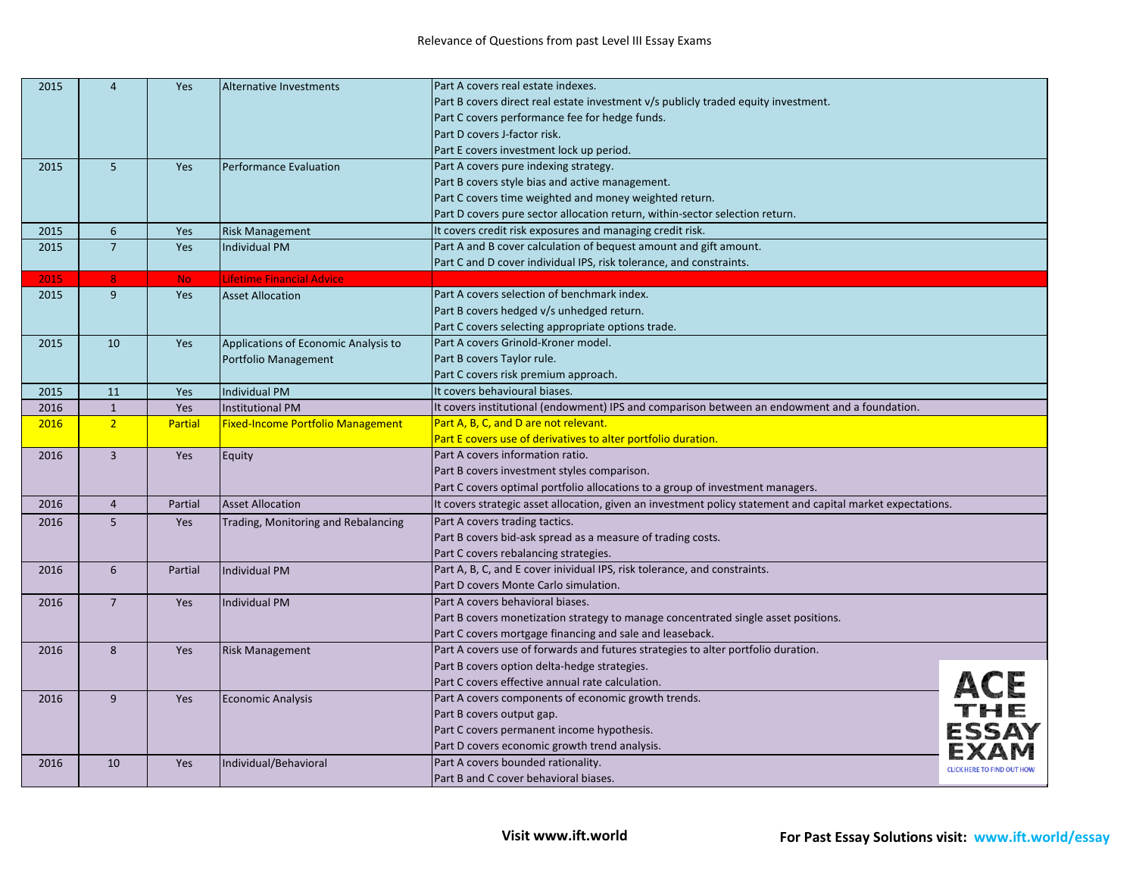| 2015 | $\overline{4}$ | Yes            | <b>Alternative Investments</b>       | Part A covers real estate indexes.                                                                          |                                   |
|------|----------------|----------------|--------------------------------------|-------------------------------------------------------------------------------------------------------------|-----------------------------------|
|      |                |                |                                      | Part B covers direct real estate investment v/s publicly traded equity investment.                          |                                   |
|      |                |                |                                      | Part C covers performance fee for hedge funds.                                                              |                                   |
|      |                |                |                                      | Part D covers J-factor risk.                                                                                |                                   |
|      |                |                |                                      | Part E covers investment lock up period.                                                                    |                                   |
| 2015 | 5              | Yes            | <b>Performance Evaluation</b>        | Part A covers pure indexing strategy.                                                                       |                                   |
|      |                |                |                                      | Part B covers style bias and active management.                                                             |                                   |
|      |                |                |                                      | Part C covers time weighted and money weighted return.                                                      |                                   |
|      |                |                |                                      | Part D covers pure sector allocation return, within-sector selection return.                                |                                   |
| 2015 | 6              | Yes            | <b>Risk Management</b>               | It covers credit risk exposures and managing credit risk.                                                   |                                   |
| 2015 | $\overline{7}$ | Yes            | <b>Individual PM</b>                 | Part A and B cover calculation of bequest amount and gift amount.                                           |                                   |
|      |                |                |                                      | Part C and D cover individual IPS, risk tolerance, and constraints.                                         |                                   |
| 2015 | 8              | <b>No</b>      | Lifetime Financial Advice            |                                                                                                             |                                   |
| 2015 | 9              | Yes            | <b>Asset Allocation</b>              | Part A covers selection of benchmark index.                                                                 |                                   |
|      |                |                |                                      | Part B covers hedged v/s unhedged return.                                                                   |                                   |
|      |                |                |                                      | Part C covers selecting appropriate options trade.                                                          |                                   |
| 2015 | 10             | Yes            | Applications of Economic Analysis to | Part A covers Grinold-Kroner model.                                                                         |                                   |
|      |                |                | Portfolio Management                 | Part B covers Taylor rule.                                                                                  |                                   |
|      |                |                |                                      | Part C covers risk premium approach.                                                                        |                                   |
| 2015 | 11             | Yes            | <b>Individual PM</b>                 | It covers behavioural biases.                                                                               |                                   |
| 2016 | $\mathbf{1}$   | Yes            | <b>Institutional PM</b>              | It covers institutional (endowment) IPS and comparison between an endowment and a foundation.               |                                   |
| 2016 | $\overline{2}$ | <b>Partial</b> | Fixed-Income Portfolio Management    | Part A, B, C, and D are not relevant.                                                                       |                                   |
|      |                |                |                                      | Part E covers use of derivatives to alter portfolio duration.                                               |                                   |
| 2016 | $\overline{3}$ | Yes            | Equity                               | Part A covers information ratio.                                                                            |                                   |
|      |                |                |                                      | Part B covers investment styles comparison.                                                                 |                                   |
|      |                |                |                                      | Part C covers optimal portfolio allocations to a group of investment managers.                              |                                   |
| 2016 | $\overline{4}$ | Partial        | <b>Asset Allocation</b>              | It covers strategic asset allocation, given an investment policy statement and capital market expectations. |                                   |
| 2016 | 5              | Yes            | Trading, Monitoring and Rebalancing  | Part A covers trading tactics.                                                                              |                                   |
|      |                |                |                                      | Part B covers bid-ask spread as a measure of trading costs.                                                 |                                   |
|      |                |                |                                      | Part C covers rebalancing strategies.                                                                       |                                   |
| 2016 | $6\phantom{1}$ | Partial        | <b>Individual PM</b>                 | Part A, B, C, and E cover inividual IPS, risk tolerance, and constraints.                                   |                                   |
|      |                |                |                                      | Part D covers Monte Carlo simulation.                                                                       |                                   |
| 2016 | $\overline{7}$ | Yes            | <b>Individual PM</b>                 | Part A covers behavioral biases.                                                                            |                                   |
|      |                |                |                                      | Part B covers monetization strategy to manage concentrated single asset positions.                          |                                   |
|      |                |                |                                      | Part C covers mortgage financing and sale and leaseback.                                                    |                                   |
| 2016 | 8              | Yes            | <b>Risk Management</b>               | Part A covers use of forwards and futures strategies to alter portfolio duration.                           |                                   |
|      |                |                |                                      | Part B covers option delta-hedge strategies.                                                                |                                   |
|      |                |                |                                      | Part C covers effective annual rate calculation.                                                            |                                   |
| 2016 | 9              | Yes            | <b>Economic Analysis</b>             | Part A covers components of economic growth trends.                                                         |                                   |
|      |                |                |                                      | Part B covers output gap.                                                                                   |                                   |
|      |                |                |                                      | Part C covers permanent income hypothesis.                                                                  | <b>ESSAY</b>                      |
|      |                |                |                                      | Part D covers economic growth trend analysis.                                                               |                                   |
| 2016 | 10             | Yes            | Individual/Behavioral                | Part A covers bounded rationality.                                                                          | <b>CLICK HERE TO FIND OUT HOW</b> |
|      |                |                |                                      | Part B and C cover behavioral biases.                                                                       |                                   |